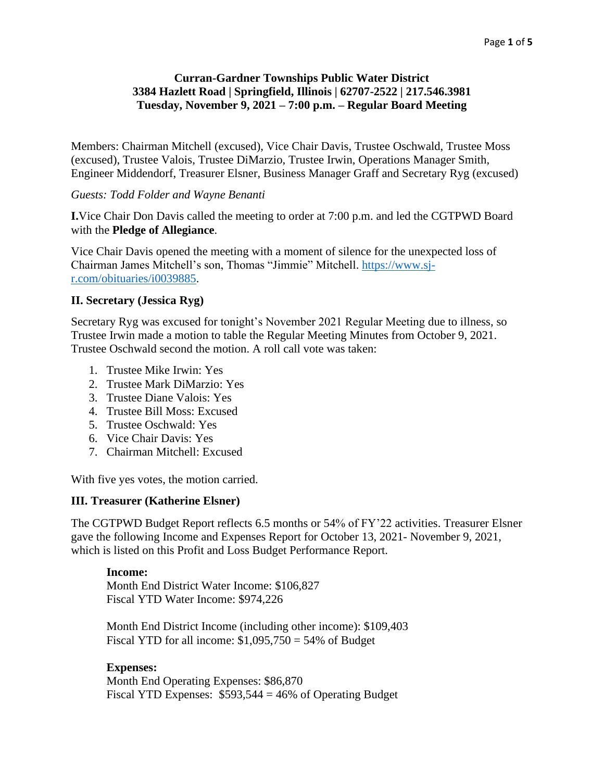### **Curran-Gardner Townships Public Water District 3384 Hazlett Road | Springfield, Illinois | 62707-2522 | 217.546.3981 Tuesday, November 9, 2021 – 7:00 p.m. – Regular Board Meeting**

Members: Chairman Mitchell (excused), Vice Chair Davis, Trustee Oschwald, Trustee Moss (excused), Trustee Valois, Trustee DiMarzio, Trustee Irwin, Operations Manager Smith, Engineer Middendorf, Treasurer Elsner, Business Manager Graff and Secretary Ryg (excused)

### *Guests: Todd Folder and Wayne Benanti*

**I.**Vice Chair Don Davis called the meeting to order at 7:00 p.m. and led the CGTPWD Board with the **Pledge of Allegiance**.

Vice Chair Davis opened the meeting with a moment of silence for the unexpected loss of Chairman James Mitchell's son, Thomas "Jimmie" Mitchell. [https://www.sj](https://www.sj-r.com/obituaries/i0039885)[r.com/obituaries/i0039885.](https://www.sj-r.com/obituaries/i0039885)

### **II. Secretary (Jessica Ryg)**

Secretary Ryg was excused for tonight's November 2021 Regular Meeting due to illness, so Trustee Irwin made a motion to table the Regular Meeting Minutes from October 9, 2021. Trustee Oschwald second the motion. A roll call vote was taken:

- 1. Trustee Mike Irwin: Yes
- 2. Trustee Mark DiMarzio: Yes
- 3. Trustee Diane Valois: Yes
- 4. Trustee Bill Moss: Excused
- 5. Trustee Oschwald: Yes
- 6. Vice Chair Davis: Yes
- 7. Chairman Mitchell: Excused

With five yes votes, the motion carried.

### **III. Treasurer (Katherine Elsner)**

The CGTPWD Budget Report reflects 6.5 months or 54% of FY'22 activities. Treasurer Elsner gave the following Income and Expenses Report for October 13, 2021- November 9, 2021, which is listed on this Profit and Loss Budget Performance Report.

### **Income:**

Month End District Water Income: \$106,827 Fiscal YTD Water Income: \$974,226

Month End District Income (including other income): \$109,403 Fiscal YTD for all income:  $$1,095,750 = 54\%$  of Budget

# **Expenses:**

Month End Operating Expenses: \$86,870 Fiscal YTD Expenses:  $$593,544 = 46\%$  of Operating Budget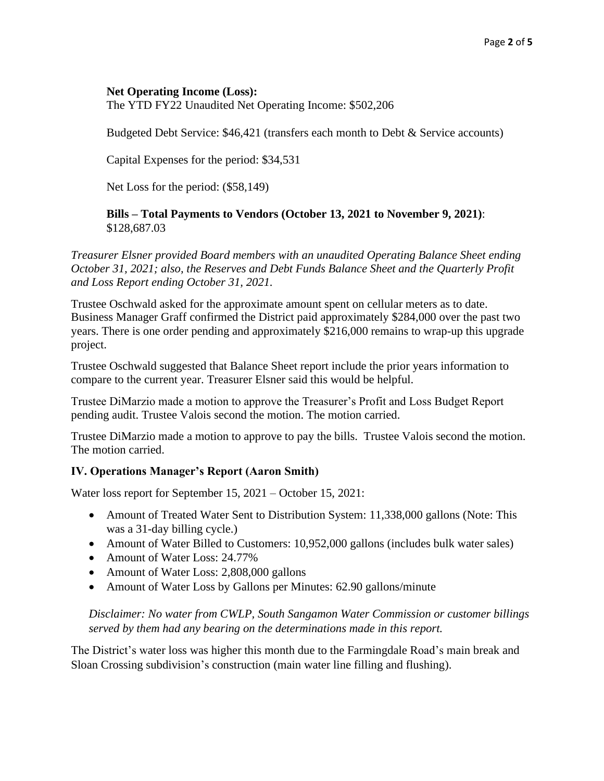### **Net Operating Income (Loss):**

The YTD FY22 Unaudited Net Operating Income: \$502,206

Budgeted Debt Service: \$46,421 (transfers each month to Debt & Service accounts)

Capital Expenses for the period: \$34,531

Net Loss for the period: (\$58,149)

**Bills – Total Payments to Vendors (October 13, 2021 to November 9, 2021)**: \$128,687.03

*Treasurer Elsner provided Board members with an unaudited Operating Balance Sheet ending October 31, 2021; also, the Reserves and Debt Funds Balance Sheet and the Quarterly Profit and Loss Report ending October 31, 2021.*

Trustee Oschwald asked for the approximate amount spent on cellular meters as to date. Business Manager Graff confirmed the District paid approximately \$284,000 over the past two years. There is one order pending and approximately \$216,000 remains to wrap-up this upgrade project.

Trustee Oschwald suggested that Balance Sheet report include the prior years information to compare to the current year. Treasurer Elsner said this would be helpful.

Trustee DiMarzio made a motion to approve the Treasurer's Profit and Loss Budget Report pending audit. Trustee Valois second the motion. The motion carried.

Trustee DiMarzio made a motion to approve to pay the bills. Trustee Valois second the motion. The motion carried.

# **IV. Operations Manager's Report (Aaron Smith)**

Water loss report for September 15, 2021 – October 15, 2021:

- Amount of Treated Water Sent to Distribution System: 11,338,000 gallons (Note: This was a 31-day billing cycle.)
- Amount of Water Billed to Customers: 10,952,000 gallons (includes bulk water sales)
- Amount of Water Loss: 24.77%
- Amount of Water Loss: 2,808,000 gallons
- Amount of Water Loss by Gallons per Minutes: 62.90 gallons/minute

*Disclaimer: No water from CWLP, South Sangamon Water Commission or customer billings served by them had any bearing on the determinations made in this report.*

The District's water loss was higher this month due to the Farmingdale Road's main break and Sloan Crossing subdivision's construction (main water line filling and flushing).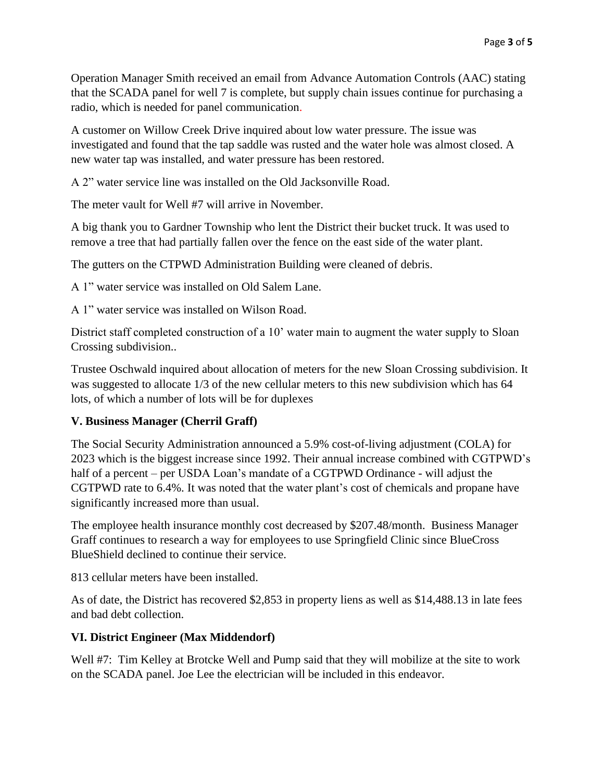Operation Manager Smith received an email from Advance Automation Controls (AAC) stating that the SCADA panel for well 7 is complete, but supply chain issues continue for purchasing a radio, which is needed for panel communication.

A customer on Willow Creek Drive inquired about low water pressure. The issue was investigated and found that the tap saddle was rusted and the water hole was almost closed. A new water tap was installed, and water pressure has been restored.

A 2" water service line was installed on the Old Jacksonville Road.

The meter vault for Well #7 will arrive in November.

A big thank you to Gardner Township who lent the District their bucket truck. It was used to remove a tree that had partially fallen over the fence on the east side of the water plant.

The gutters on the CTPWD Administration Building were cleaned of debris.

A 1" water service was installed on Old Salem Lane.

A 1" water service was installed on Wilson Road.

District staff completed construction of a 10' water main to augment the water supply to Sloan Crossing subdivision..

Trustee Oschwald inquired about allocation of meters for the new Sloan Crossing subdivision. It was suggested to allocate 1/3 of the new cellular meters to this new subdivision which has 64 lots, of which a number of lots will be for duplexes

# **V. Business Manager (Cherril Graff)**

The Social Security Administration announced a 5.9% cost-of-living adjustment (COLA) for 2023 which is the biggest increase since 1992. Their annual increase combined with CGTPWD's half of a percent – per USDA Loan's mandate of a CGTPWD Ordinance - will adjust the CGTPWD rate to 6.4%. It was noted that the water plant's cost of chemicals and propane have significantly increased more than usual.

The employee health insurance monthly cost decreased by \$207.48/month. Business Manager Graff continues to research a way for employees to use Springfield Clinic since BlueCross BlueShield declined to continue their service.

813 cellular meters have been installed.

As of date, the District has recovered \$2,853 in property liens as well as \$14,488.13 in late fees and bad debt collection.

# **VI. District Engineer (Max Middendorf)**

Well #7: Tim Kelley at Brotcke Well and Pump said that they will mobilize at the site to work on the SCADA panel. Joe Lee the electrician will be included in this endeavor.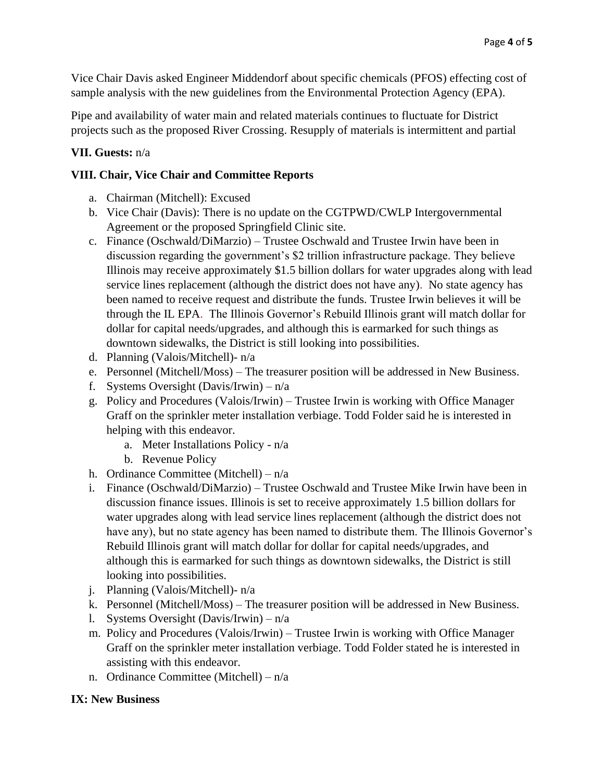Vice Chair Davis asked Engineer Middendorf about specific chemicals (PFOS) effecting cost of sample analysis with the new guidelines from the Environmental Protection Agency (EPA).

Pipe and availability of water main and related materials continues to fluctuate for District projects such as the proposed River Crossing. Resupply of materials is intermittent and partial

# **VII. Guests:** n/a

# **VIII. Chair, Vice Chair and Committee Reports**

- a. Chairman (Mitchell): Excused
- b. Vice Chair (Davis): There is no update on the CGTPWD/CWLP Intergovernmental Agreement or the proposed Springfield Clinic site.
- c. Finance (Oschwald/DiMarzio) Trustee Oschwald and Trustee Irwin have been in discussion regarding the government's \$2 trillion infrastructure package. They believe Illinois may receive approximately \$1.5 billion dollars for water upgrades along with lead service lines replacement (although the district does not have any). No state agency has been named to receive request and distribute the funds. Trustee Irwin believes it will be through the IL EPA. The Illinois Governor's Rebuild Illinois grant will match dollar for dollar for capital needs/upgrades, and although this is earmarked for such things as downtown sidewalks, the District is still looking into possibilities.
- d. Planning (Valois/Mitchell)- n/a
- e. Personnel (Mitchell/Moss) The treasurer position will be addressed in New Business.
- f. Systems Oversight (Davis/Irwin)  $n/a$
- g. Policy and Procedures (Valois/Irwin) Trustee Irwin is working with Office Manager Graff on the sprinkler meter installation verbiage. Todd Folder said he is interested in helping with this endeavor.
	- a. Meter Installations Policy n/a
	- b. Revenue Policy
- h. Ordinance Committee (Mitchell) n/a
- i. Finance (Oschwald/DiMarzio) Trustee Oschwald and Trustee Mike Irwin have been in discussion finance issues. Illinois is set to receive approximately 1.5 billion dollars for water upgrades along with lead service lines replacement (although the district does not have any), but no state agency has been named to distribute them. The Illinois Governor's Rebuild Illinois grant will match dollar for dollar for capital needs/upgrades, and although this is earmarked for such things as downtown sidewalks, the District is still looking into possibilities.
- j. Planning (Valois/Mitchell)- n/a
- k. Personnel (Mitchell/Moss) The treasurer position will be addressed in New Business.
- l. Systems Oversight (Davis/Irwin) n/a
- m. Policy and Procedures (Valois/Irwin) Trustee Irwin is working with Office Manager Graff on the sprinkler meter installation verbiage. Todd Folder stated he is interested in assisting with this endeavor.
- n. Ordinance Committee (Mitchell) n/a

# **IX: New Business**